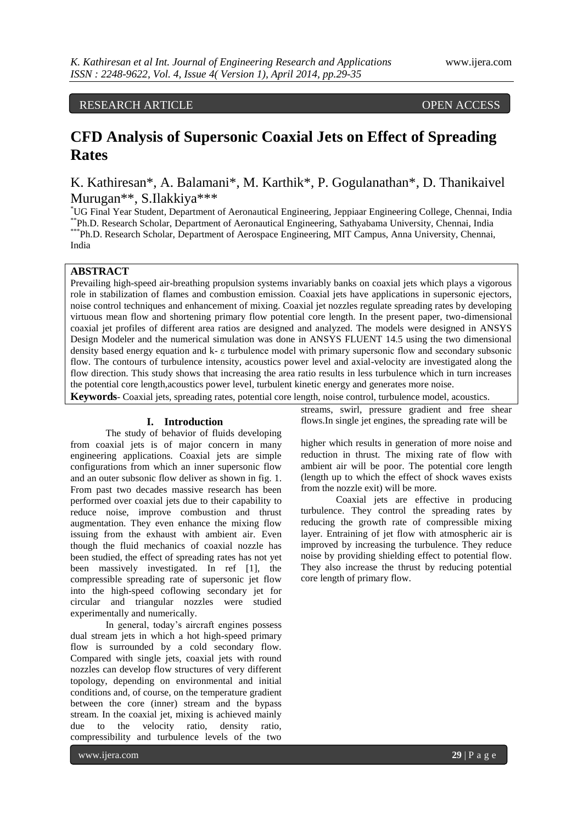# RESEARCH ARTICLE OPEN ACCESS

# **CFD Analysis of Supersonic Coaxial Jets on Effect of Spreading Rates**

K. Kathiresan\*, A. Balamani\*, M. Karthik\*, P. Gogulanathan\*, D. Thanikaivel Murugan\*\*, S.Ilakkiya\*\*\*

\*UG Final Year Student, Department of Aeronautical Engineering, Jeppiaar Engineering College, Chennai, India \*\*Ph.D. Research Scholar, Department of Aeronautical Engineering, Sathyabama University, Chennai, India \*\*\* Ph.D. Research Scholar, Department of Aerospace Engineering, MIT Campus, Anna University, Chennai, India

# **ABSTRACT**

Prevailing high-speed air-breathing propulsion systems invariably banks on coaxial jets which plays a vigorous role in stabilization of flames and combustion emission. Coaxial jets have applications in supersonic ejectors, noise control techniques and enhancement of mixing. Coaxial jet nozzles regulate spreading rates by developing virtuous mean flow and shortening primary flow potential core length. In the present paper, two-dimensional coaxial jet profiles of different area ratios are designed and analyzed. The models were designed in ANSYS Design Modeler and the numerical simulation was done in ANSYS FLUENT 14.5 using the two dimensional density based energy equation and k- ε turbulence model with primary supersonic flow and secondary subsonic flow. The contours of turbulence intensity, acoustics power level and axial-velocity are investigated along the flow direction. This study shows that increasing the area ratio results in less turbulence which in turn increases the potential core length,acoustics power level, turbulent kinetic energy and generates more noise.

**Keywords**- Coaxial jets, spreading rates, potential core length, noise control, turbulence model, acoustics.

## **I. Introduction**

The study of behavior of fluids developing from coaxial jets is of major concern in many engineering applications. Coaxial jets are simple configurations from which an inner supersonic flow and an outer subsonic flow deliver as shown in fig. 1. From past two decades massive research has been performed over coaxial jets due to their capability to reduce noise, improve combustion and thrust augmentation. They even enhance the mixing flow issuing from the exhaust with ambient air. Even though the fluid mechanics of coaxial nozzle has been studied, the effect of spreading rates has not yet been massively investigated. In ref [1], the compressible spreading rate of supersonic jet flow into the high-speed coflowing secondary jet for circular and triangular nozzles were studied experimentally and numerically.

In general, today's aircraft engines possess dual stream jets in which a hot high-speed primary flow is surrounded by a cold secondary flow. Compared with single jets, coaxial jets with round nozzles can develop flow structures of very different topology, depending on environmental and initial conditions and, of course, on the temperature gradient between the core (inner) stream and the bypass stream. In the coaxial jet, mixing is achieved mainly due to the velocity ratio, density ratio, compressibility and turbulence levels of the two

streams, swirl, pressure gradient and free shear flows.In single jet engines, the spreading rate will be

higher which results in generation of more noise and reduction in thrust. The mixing rate of flow with ambient air will be poor. The potential core length (length up to which the effect of shock waves exists from the nozzle exit) will be more.

Coaxial jets are effective in producing turbulence. They control the spreading rates by reducing the growth rate of compressible mixing layer. Entraining of jet flow with atmospheric air is improved by increasing the turbulence. They reduce noise by providing shielding effect to potential flow. They also increase the thrust by reducing potential core length of primary flow.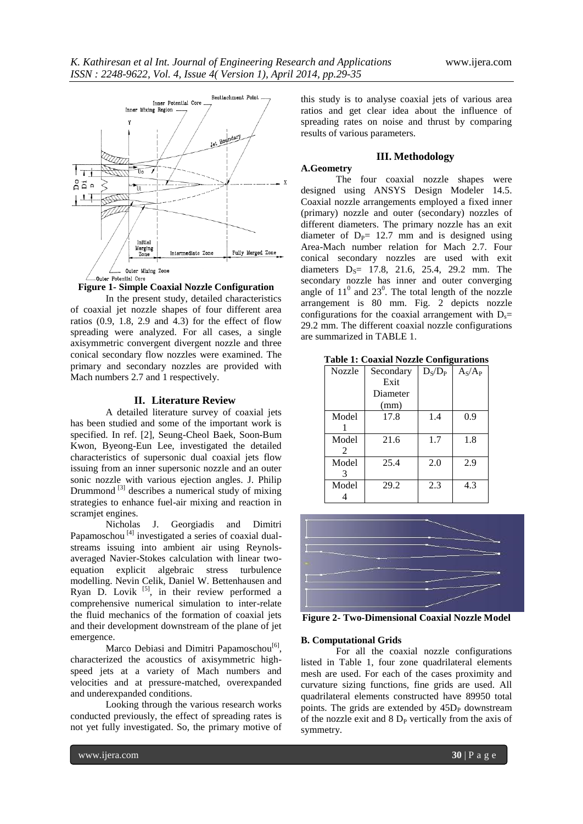

**Figure 1- Simple Coaxial Nozzle Configuration**

In the present study, detailed characteristics of coaxial jet nozzle shapes of four different area ratios  $(0.9, 1.8, 2.9, 4.3)$  for the effect of flow spreading were analyzed. For all cases, a single axisymmetric convergent divergent nozzle and three conical secondary flow nozzles were examined. The primary and secondary nozzles are provided with Mach numbers 2.7 and 1 respectively.

### **II. Literature Review**

A detailed literature survey of coaxial jets has been studied and some of the important work is specified. In ref. [2], Seung-Cheol Baek, Soon-Bum Kwon, Byeong-Eun Lee, investigated the detailed characteristics of supersonic dual coaxial jets flow issuing from an inner supersonic nozzle and an outer sonic nozzle with various ejection angles. J. Philip Drummond<sup>[3]</sup> describes a numerical study of mixing strategies to enhance fuel-air mixing and reaction in scramjet engines.

Nicholas J. Georgiadis and Dimitri Papamoschou  $[4]$  investigated a series of coaxial dualstreams issuing into ambient air using Reynolsaveraged Navier-Stokes calculation with linear twoequation explicit algebraic stress turbulence modelling. Nevin Celik, Daniel W. Bettenhausen and Ryan D. Lovik  $[5]$ , in their review performed a comprehensive numerical simulation to inter-relate the fluid mechanics of the formation of coaxial jets and their development downstream of the plane of jet emergence.

Marco Debiasi and Dimitri Papamoschou<sup>[6]</sup>, characterized the acoustics of axisymmetric highspeed jets at a variety of Mach numbers and velocities and at pressure-matched, overexpanded and underexpanded conditions.

Looking through the various research works conducted previously, the effect of spreading rates is not yet fully investigated. So, the primary motive of

this study is to analyse coaxial jets of various area ratios and get clear idea about the influence of spreading rates on noise and thrust by comparing results of various parameters.

# **III. Methodology**

# **A.Geometry**

The four coaxial nozzle shapes were designed using ANSYS Design Modeler 14.5. Coaxial nozzle arrangements employed a fixed inner (primary) nozzle and outer (secondary) nozzles of different diameters. The primary nozzle has an exit diameter of  $D<sub>p</sub> = 12.7$  mm and is designed using Area-Mach number relation for Mach 2.7. Four conical secondary nozzles are used with exit diameters  $D_s = 17.8, 21.6, 25.4, 29.2 \text{ mm.}$  The secondary nozzle has inner and outer converging angle of  $11^0$  and  $23^0$ . The total length of the nozzle arrangement is 80 mm. Fig. 2 depicts nozzle configurations for the coaxial arrangement with  $D_s=$ 29.2 mm. The different coaxial nozzle configurations are summarized in TABLE 1.

| <b>Nozzle</b> | Secondary | $D_S/D_P$ | $A_{\rm S}/A_{\rm P}$ |
|---------------|-----------|-----------|-----------------------|
|               | Exit      |           |                       |
|               | Diameter  |           |                       |
|               | (mm)      |           |                       |
| Model         | 17.8      | 1.4       | 0.9                   |
|               |           |           |                       |
| Model         | 21.6      | 1.7       | 1.8                   |
| 2             |           |           |                       |
| Model         | 25.4      | 2.0       | 2.9                   |
| 3             |           |           |                       |
| Model         | 29.2      | 2.3       | 4.3                   |
|               |           |           |                       |

**Table 1: Coaxial Nozzle Configurations**



**Figure 2- Two-Dimensional Coaxial Nozzle Model**

# **B. Computational Grids**

For all the coaxial nozzle configurations listed in Table 1, four zone quadrilateral elements mesh are used. For each of the cases proximity and curvature sizing functions, fine grids are used. All quadrilateral elements constructed have 89950 total points. The grids are extended by  $45D<sub>P</sub>$  downstream of the nozzle exit and  $8 D<sub>P</sub>$  vertically from the axis of symmetry.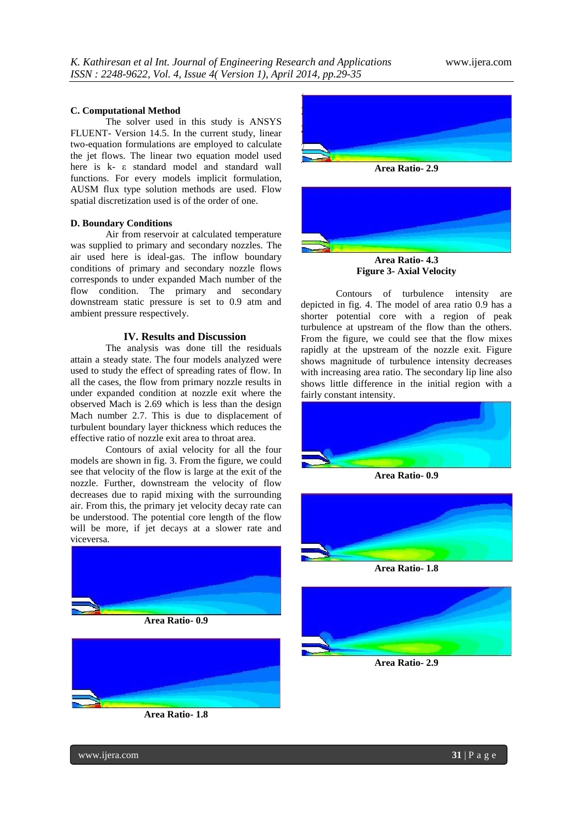#### **C. Computational Method**

The solver used in this study is ANSYS FLUENT- Version 14.5. In the current study, linear two-equation formulations are employed to calculate the jet flows. The linear two equation model used here is k- ε standard model and standard wall functions. For every models implicit formulation, AUSM flux type solution methods are used. Flow spatial discretization used is of the order of one.

#### **D. Boundary Conditions**

Air from reservoir at calculated temperature was supplied to primary and secondary nozzles. The air used here is ideal-gas. The inflow boundary conditions of primary and secondary nozzle flows corresponds to under expanded Mach number of the flow condition. The primary and secondary downstream static pressure is set to 0.9 atm and ambient pressure respectively.

# **IV. Results and Discussion**

The analysis was done till the residuals attain a steady state. The four models analyzed were used to study the effect of spreading rates of flow. In all the cases, the flow from primary nozzle results in under expanded condition at nozzle exit where the observed Mach is 2.69 which is less than the design Mach number 2.7. This is due to displacement of turbulent boundary layer thickness which reduces the effective ratio of nozzle exit area to throat area.

Contours of axial velocity for all the four models are shown in fig. 3. From the figure, we could see that velocity of the flow is large at the exit of the nozzle. Further, downstream the velocity of flow decreases due to rapid mixing with the surrounding air. From this, the primary jet velocity decay rate can be understood. The potential core length of the flow will be more, if jet decays at a slower rate and viceversa.



**Area Ratio- 0.9**



**Area Ratio- 1.8**





**Figure 3- Axial Velocity**

Contours of turbulence intensity are depicted in fig. 4. The model of area ratio 0.9 has a shorter potential core with a region of peak turbulence at upstream of the flow than the others. From the figure, we could see that the flow mixes rapidly at the upstream of the nozzle exit. Figure shows magnitude of turbulence intensity decreases with increasing area ratio. The secondary lip line also shows little difference in the initial region with a fairly constant intensity.



**Area Ratio- 0.9**



**Area Ratio- 1.8**



**Area Ratio- 2.9**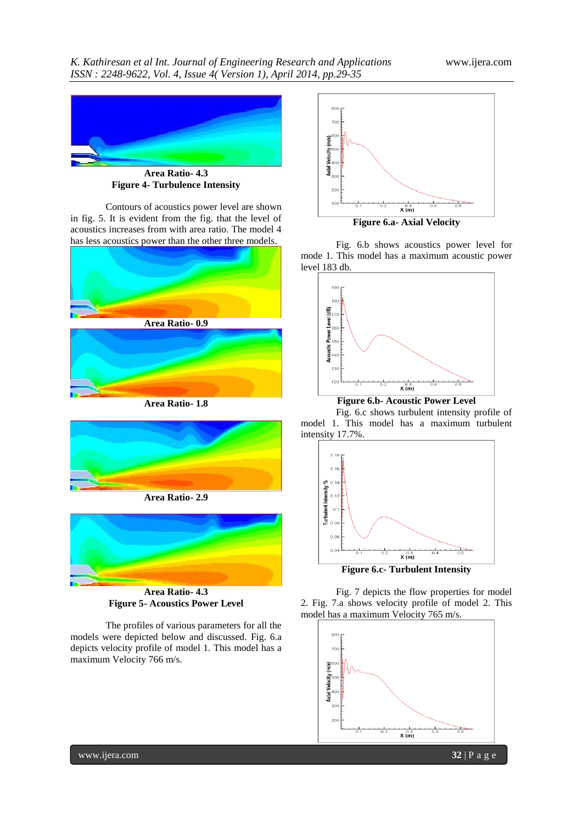

**Area Ratio- 4.3 Figure 4- Turbulence Intensity**

Contours of acoustics power level are shown in fig. 5. It is evident from the fig. that the level of acoustics increases from with area ratio. The model 4 has less acoustics power than the other three models.



**Area Ratio- 1.8**



**Area Ratio- 2.9**



**Area Ratio- 4.3 Figure 5- Acoustics Power Level**

The profiles of various parameters for all the models were depicted below and discussed. Fig. 6.a depicts velocity profile of model 1. This model has a maximum Velocity 766 m/s.



Fig. 6.b shows acoustics power level for mode 1. This model has a maximum acoustic power level 183 db.



**Figure 6.b- Acoustic Power Level**

Fig. 6.c shows turbulent intensity profile of model 1. This model has a maximum turbulent intensity 17.7%.



Fig. 7 depicts the flow properties for model 2. Fig. 7.a shows velocity profile of model 2. This model has a maximum Velocity 765 m/s.

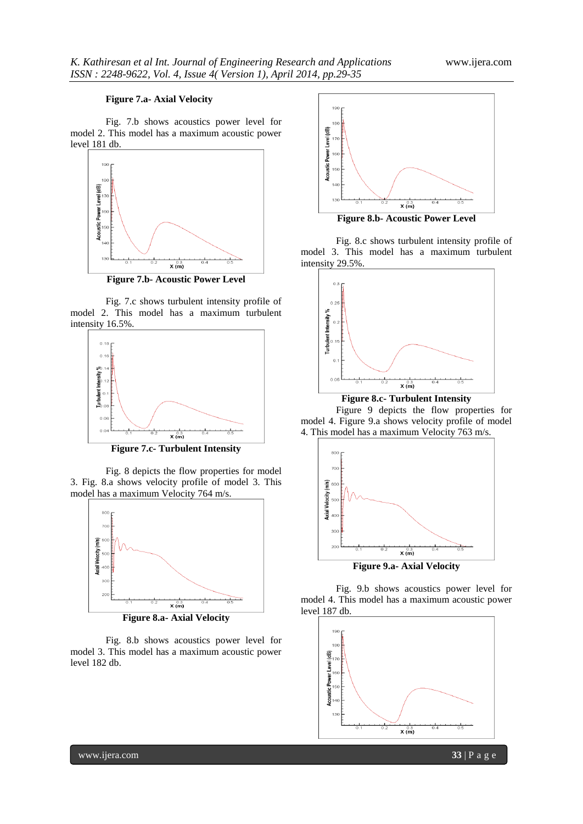# **Figure 7.a- Axial Velocity**

Fig. 7.b shows acoustics power level for model 2. This model has a maximum acoustic power level 181 db.



**Figure 7.b- Acoustic Power Level**

Fig. 7.c shows turbulent intensity profile of model 2. This model has a maximum turbulent intensity 16.5%.



**Figure 7.c- Turbulent Intensity**

Fig. 8 depicts the flow properties for model 3. Fig. 8.a shows velocity profile of model 3. This model has a maximum Velocity 764 m/s.



**Figure 8.a- Axial Velocity**

Fig. 8.b shows acoustics power level for model 3. This model has a maximum acoustic power level 182 db.



Fig. 8.c shows turbulent intensity profile of model 3. This model has a maximum turbulent intensity 29.5%.



**Figure 8.c- Turbulent Intensity**

Figure 9 depicts the flow properties for model 4. Figure 9.a shows velocity profile of model 4. This model has a maximum Velocity 763 m/s.



Fig. 9.b shows acoustics power level for model 4. This model has a maximum acoustic power level 187 db.



www.ijera.com **33** | P a g e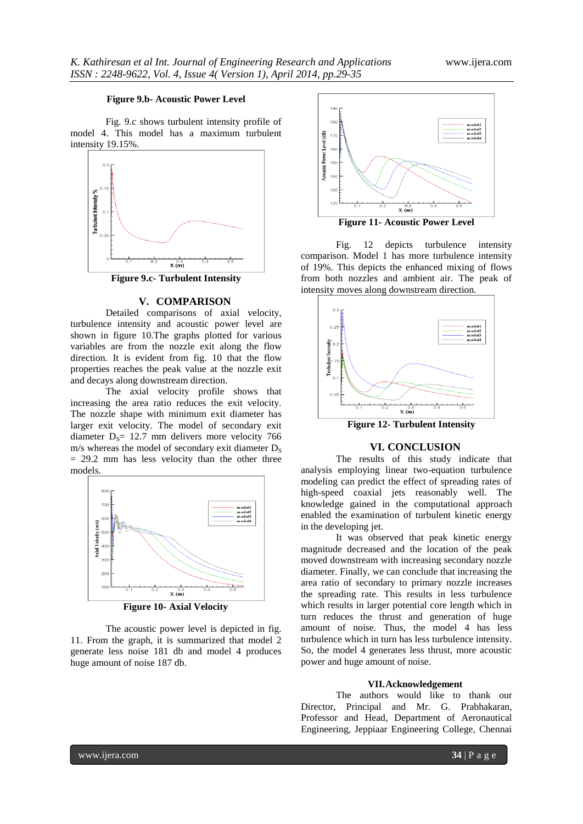### **Figure 9.b- Acoustic Power Level**

Fig. 9.c shows turbulent intensity profile of model 4. This model has a maximum turbulent intensity 19.15%.



**Figure 9.c- Turbulent Intensity**

#### **V. COMPARISON**

Detailed comparisons of axial velocity, turbulence intensity and acoustic power level are shown in figure 10.The graphs plotted for various variables are from the nozzle exit along the flow direction. It is evident from fig. 10 that the flow properties reaches the peak value at the nozzle exit and decays along downstream direction.

The axial velocity profile shows that increasing the area ratio reduces the exit velocity. The nozzle shape with minimum exit diameter has larger exit velocity. The model of secondary exit diameter  $D_s$ = 12.7 mm delivers more velocity 766  $m/s$  whereas the model of secondary exit diameter  $D_s$  $= 29.2$  mm has less velocity than the other three models.



The acoustic power level is depicted in fig. 11. From the graph, it is summarized that model 2 generate less noise 181 db and model 4 produces huge amount of noise 187 db.



Fig. 12 depicts turbulence intensity comparison. Model 1 has more turbulence intensity of 19%. This depicts the enhanced mixing of flows from both nozzles and ambient air. The peak of intensity moves along downstream direction.



 **Figure 12- Turbulent Intensity**

#### **VI. CONCLUSION**

The results of this study indicate that analysis employing linear two-equation turbulence modeling can predict the effect of spreading rates of high-speed coaxial jets reasonably well. The knowledge gained in the computational approach enabled the examination of turbulent kinetic energy in the developing jet.

It was observed that peak kinetic energy magnitude decreased and the location of the peak moved downstream with increasing secondary nozzle diameter. Finally, we can conclude that increasing the area ratio of secondary to primary nozzle increases the spreading rate. This results in less turbulence which results in larger potential core length which in turn reduces the thrust and generation of huge amount of noise. Thus, the model 4 has less turbulence which in turn has less turbulence intensity. So, the model 4 generates less thrust, more acoustic power and huge amount of noise.

### **VII.Acknowledgement**

The authors would like to thank our Director, Principal and Mr. G. Prabhakaran, Professor and Head, Department of Aeronautical Engineering, Jeppiaar Engineering College, Chennai